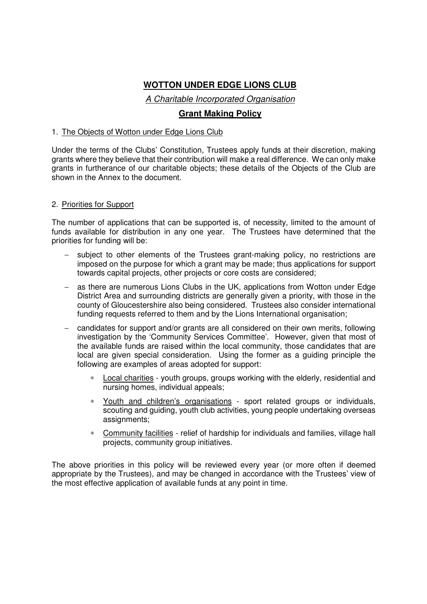# **WOTTON UNDER EDGE LIONS CLUB**

A Charitable Incorporated Organisation

## **Grant Making Policy**

### 1. The Objects of Wotton under Edge Lions Club

Under the terms of the Clubs' Constitution, Trustees apply funds at their discretion, making grants where they believe that their contribution will make a real difference. We can only make grants in furtherance of our charitable objects; these details of the Objects of the Club are shown in the Annex to the document.

### 2. Priorities for Support

The number of applications that can be supported is, of necessity, limited to the amount of funds available for distribution in any one year. The Trustees have determined that the priorities for funding will be:

- subject to other elements of the Trustees grant-making policy, no restrictions are imposed on the purpose for which a grant may be made; thus applications for support towards capital projects, other projects or core costs are considered;
- − as there are numerous Lions Clubs in the UK, applications from Wotton under Edge District Area and surrounding districts are generally given a priority, with those in the county of Gloucestershire also being considered. Trustees also consider international funding requests referred to them and by the Lions International organisation;
- − candidates for support and/or grants are all considered on their own merits, following investigation by the 'Community Services Committee'. However, given that most of the available funds are raised within the local community, those candidates that are local are given special consideration. Using the former as a guiding principle the following are examples of areas adopted for support:
	- Local charities youth groups, groups working with the elderly, residential and nursing homes, individual appeals;
	- Youth and children's organisations sport related groups or individuals, scouting and guiding, youth club activities, young people undertaking overseas assignments;
	- Community facilities relief of hardship for individuals and families, village hall projects, community group initiatives.

The above priorities in this policy will be reviewed every year (or more often if deemed appropriate by the Trustees), and may be changed in accordance with the Trustees' view of the most effective application of available funds at any point in time.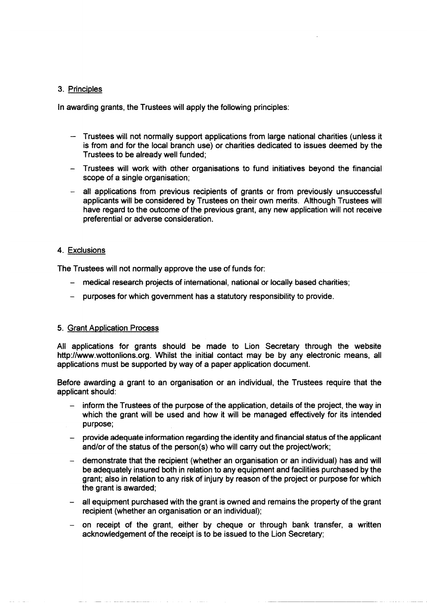### 3. Principles

In awarding grants, the Trustees will apply the following principles:

- Trustees will not normally support applications from large national charities (unless it is from and for the local branch use) or charities dedicated to issues deemed by the Trustees to be already well funded:
- Trustees will work with other organisations to fund initiatives beyond the financial scope of a single organisation;
- all applications from previous recipients of grants or from previously unsuccessful applicants will be considered by Trustees on their own merits. Although Trustees will have regard to the outcome of the previous grant, any new application will not receive preferential or adverse consideration.

### 4. Exclusions

The Trustees will not normally approve the use of funds for:

- medical research projects of international, national or locally based charities;
- purposes for which government has a statutory responsibility to provide.

#### 5. Grant Application Process

All applications for grants should be made to Lion Secretary through the website http://www.wottonlions.org. Whilst the initial contact may be by any electronic means, all applications must be supported by way of a paper application document.

Before awarding a grant to an organisation or an individual, the Trustees require that the applicant should:

- inform the Trustees of the purpose of the application, details of the project, the way in  $\overline{a}$ which the grant will be used and how it will be managed effectively for its intended purpose:
- provide adequate information regarding the identity and financial status of the applicant and/or of the status of the person(s) who will carry out the project/work;
- demonstrate that the recipient (whether an organisation or an individual) has and will  $\frac{1}{2}$ be adequately insured both in relation to any equipment and facilities purchased by the grant; also in relation to any risk of injury by reason of the project or purpose for which the grant is awarded:
- all equipment purchased with the grant is owned and remains the property of the grant recipient (whether an organisation or an individual);
- on receipt of the grant, either by cheque or through bank transfer, a written acknowledgement of the receipt is to be issued to the Lion Secretary;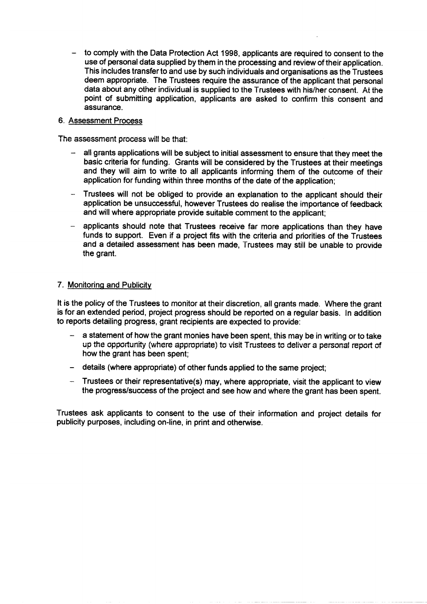to comply with the Data Protection Act 1998, applicants are required to consent to the use of personal data supplied by them in the processing and review of their application. This includes transfer to and use by such individuals and organisations as the Trustees deem appropriate. The Trustees require the assurance of the applicant that personal data about any other individual is supplied to the Trustees with his/her consent. At the point of submitting application, applicants are asked to confirm this consent and assurance.

#### 6. Assessment Process

The assessment process will be that:

- all grants applications will be subject to initial assessment to ensure that they meet the basic criteria for funding. Grants will be considered by the Trustees at their meetings and they will aim to write to all applicants informing them of the outcome of their application for funding within three months of the date of the application;
- Trustees will not be obliged to provide an explanation to the applicant should their application be unsuccessful, however Trustees do realise the importance of feedback and will where appropriate provide suitable comment to the applicant:
- applicants should note that Trustees receive far more applications than they have funds to support. Even if a project fits with the criteria and priorities of the Trustees and a detailed assessment has been made, Trustees may still be unable to provide the grant.

### 7. Monitoring and Publicity

It is the policy of the Trustees to monitor at their discretion, all grants made. Where the grant is for an extended period, project progress should be reported on a regular basis. In addition to reports detailing progress, grant recipients are expected to provide:

- a statement of how the grant monies have been spent, this may be in writing or to take up the opportunity (where appropriate) to visit Trustees to deliver a personal report of how the grant has been spent:
- details (where appropriate) of other funds applied to the same project:
- Trustees or their representative(s) may, where appropriate, visit the applicant to view the progress/success of the project and see how and where the grant has been spent.

Trustees ask applicants to consent to the use of their information and project details for publicity purposes, including on-line, in print and otherwise.